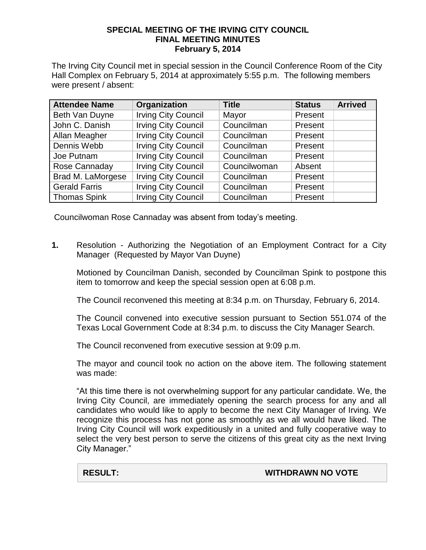## **SPECIAL MEETING OF THE IRVING CITY COUNCIL FINAL MEETING MINUTES February 5, 2014**

The Irving City Council met in special session in the Council Conference Room of the City Hall Complex on February 5, 2014 at approximately 5:55 p.m. The following members were present / absent:

| <b>Attendee Name</b> | Organization               | <b>Title</b> | <b>Status</b> | <b>Arrived</b> |
|----------------------|----------------------------|--------------|---------------|----------------|
| Beth Van Duyne       | <b>Irving City Council</b> | Mayor        | Present       |                |
| John C. Danish       | <b>Irving City Council</b> | Councilman   | Present       |                |
| Allan Meagher        | <b>Irving City Council</b> | Councilman   | Present       |                |
| Dennis Webb          | <b>Irving City Council</b> | Councilman   | Present       |                |
| Joe Putnam           | <b>Irving City Council</b> | Councilman   | Present       |                |
| Rose Cannaday        | <b>Irving City Council</b> | Councilwoman | Absent        |                |
| Brad M. LaMorgese    | <b>Irving City Council</b> | Councilman   | Present       |                |
| <b>Gerald Farris</b> | <b>Irving City Council</b> | Councilman   | Present       |                |
| <b>Thomas Spink</b>  | <b>Irving City Council</b> | Councilman   | Present       |                |

Councilwoman Rose Cannaday was absent from today's meeting.

**1.** Resolution - Authorizing the Negotiation of an Employment Contract for a City Manager (Requested by Mayor Van Duyne)

Motioned by Councilman Danish, seconded by Councilman Spink to postpone this item to tomorrow and keep the special session open at 6:08 p.m.

The Council reconvened this meeting at 8:34 p.m. on Thursday, February 6, 2014.

The Council convened into executive session pursuant to Section 551.074 of the Texas Local Government Code at 8:34 p.m. to discuss the City Manager Search.

The Council reconvened from executive session at 9:09 p.m.

The mayor and council took no action on the above item. The following statement was made:

"At this time there is not overwhelming support for any particular candidate. We, the Irving City Council, are immediately opening the search process for any and all candidates who would like to apply to become the next City Manager of Irving. We recognize this process has not gone as smoothly as we all would have liked. The Irving City Council will work expeditiously in a united and fully cooperative way to select the very best person to serve the citizens of this great city as the next Irving City Manager."

**RESULT: WITHDRAWN NO VOTE**